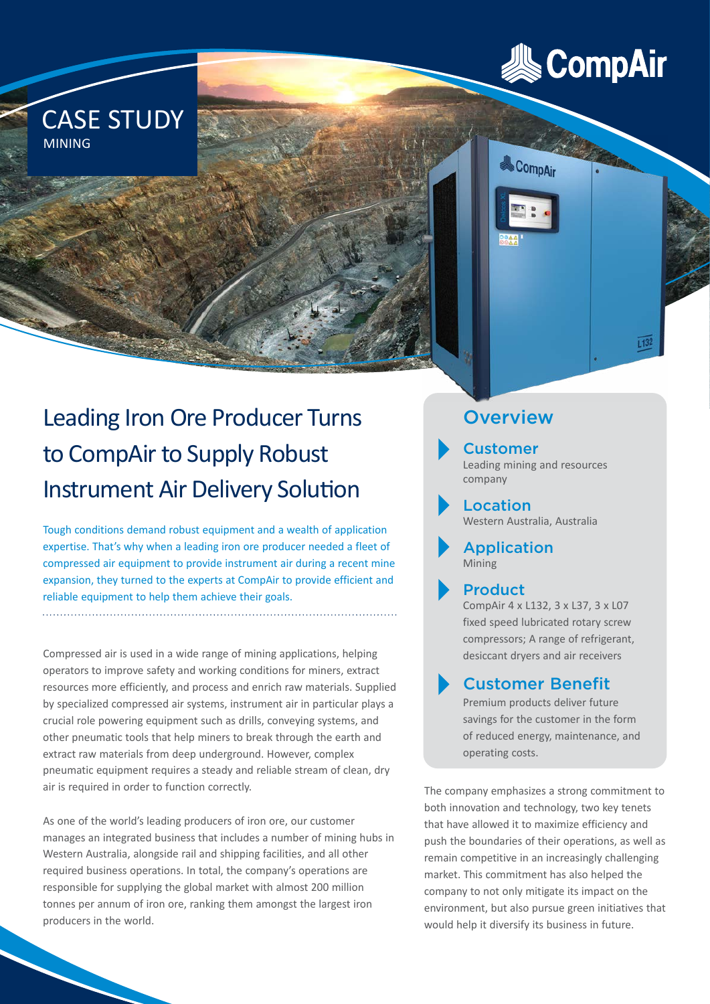

 $E132$ 



MINING

CASE STUDY

Tough conditions demand robust equipment and a wealth of application expertise. That's why when a leading iron ore producer needed a fleet of compressed air equipment to provide instrument air during a recent mine expansion, they turned to the experts at CompAir to provide efficient and reliable equipment to help them achieve their goals.

Compressed air is used in a wide range of mining applications, helping operators to improve safety and working conditions for miners, extract resources more efficiently, and process and enrich raw materials. Supplied by specialized compressed air systems, instrument air in particular plays a crucial role powering equipment such as drills, conveying systems, and other pneumatic tools that help miners to break through the earth and extract raw materials from deep underground. However, complex pneumatic equipment requires a steady and reliable stream of clean, dry air is required in order to function correctly.

As one of the world's leading producers of iron ore, our customer manages an integrated business that includes a number of mining hubs in Western Australia, alongside rail and shipping facilities, and all other required business operations. In total, the company's operations are responsible for supplying the global market with almost 200 million tonnes per annum of iron ore, ranking them amongst the largest iron producers in the world.

**Overview** 

Customer Leading mining and resources

company

& CompAir

Location Western Australia, Australia

Application Mining

Product CompAir 4 x L132, 3 x L37, 3 x L07 fixed speed lubricated rotary screw compressors; A range of refrigerant, desiccant dryers and air receivers

Customer Benefit

Premium products deliver future savings for the customer in the form of reduced energy, maintenance, and operating costs.

The company emphasizes a strong commitment to both innovation and technology, two key tenets that have allowed it to maximize efficiency and push the boundaries of their operations, as well as remain competitive in an increasingly challenging market. This commitment has also helped the company to not only mitigate its impact on the environment, but also pursue green initiatives that would help it diversify its business in future.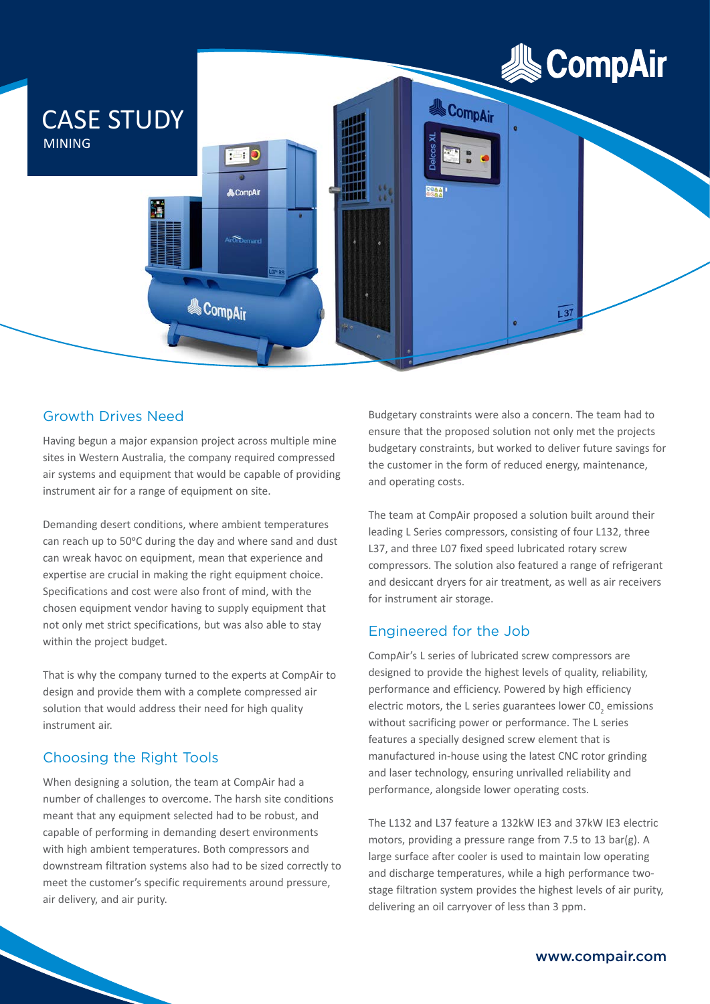

## Growth Drives Need

Having begun a major expansion project across multiple mine sites in Western Australia, the company required compressed air systems and equipment that would be capable of providing instrument air for a range of equipment on site.

Demanding desert conditions, where ambient temperatures can reach up to 50°C during the day and where sand and dust can wreak havoc on equipment, mean that experience and expertise are crucial in making the right equipment choice. Specifications and cost were also front of mind, with the chosen equipment vendor having to supply equipment that not only met strict specifications, but was also able to stay within the project budget.

That is why the company turned to the experts at CompAir to design and provide them with a complete compressed air solution that would address their need for high quality instrument air.

## Choosing the Right Tools

When designing a solution, the team at CompAir had a number of challenges to overcome. The harsh site conditions meant that any equipment selected had to be robust, and capable of performing in demanding desert environments with high ambient temperatures. Both compressors and downstream filtration systems also had to be sized correctly to meet the customer's specific requirements around pressure, air delivery, and air purity.

Budgetary constraints were also a concern. The team had to ensure that the proposed solution not only met the projects budgetary constraints, but worked to deliver future savings for the customer in the form of reduced energy, maintenance, and operating costs.

The team at CompAir proposed a solution built around their leading L Series compressors, consisting of four L132, three L37, and three L07 fixed speed lubricated rotary screw compressors. The solution also featured a range of refrigerant and desiccant dryers for air treatment, as well as air receivers for instrument air storage.

## Engineered for the Job

CompAir's L series of lubricated screw compressors are designed to provide the highest levels of quality, reliability, performance and efficiency. Powered by high efficiency electric motors, the L series guarantees lower  $\text{CO}_2$  emissions without sacrificing power or performance. The L series features a specially designed screw element that is manufactured in-house using the latest CNC rotor grinding and laser technology, ensuring unrivalled reliability and performance, alongside lower operating costs.

The L132 and L37 feature a 132kW IE3 and 37kW IE3 electric motors, providing a pressure range from 7.5 to 13 bar(g). A large surface after cooler is used to maintain low operating and discharge temperatures, while a high performance twostage filtration system provides the highest levels of air purity, delivering an oil carryover of less than 3 ppm.